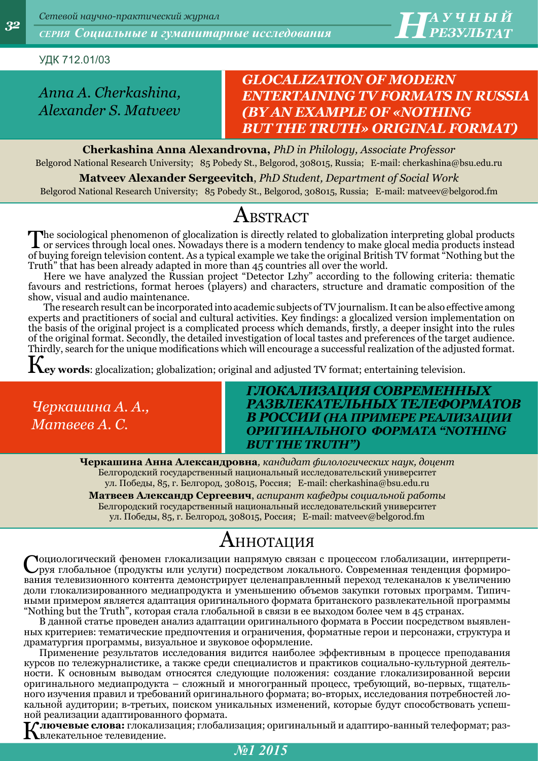УДК 712.01/03

*Anna A. Cherkashina, Alexander S. Matveev*

### *GLOCALIZATION OF MODERN ENTERTAINING TV FORMATS IN RUSSIA (BY AN EXAMPLE OF «NOTHING BUT THE TRUTH» ORIGINAL FORMAT)*

**Cherkashina Anna Alexandrovna,** *PhD in Philology, Associate Professor* Belgorod National Research University; 85 Pobedy St., Belgorod, 308015, Russia; E-mail: [cherkashina@bsu.edu.ru](mailto:cherkashina@bsu.edu.ru)

**Matveev Alexander Sergeevitch**, *PhD Student, Department of Social Work*

Belgorod National Research University; 85 Pobedy St., Belgorod, 308015, Russia; E-mail: [matveev@belgorod.fm](mailto:matveev@belgorod.fm)

## $\rm A$ bstract

The sociological phenomenon of glocalization is directly related to globalization interpreting global products instead<br>or services through local ones. Nowadays there is a modern tendency to make glocal media products inste of buying foreign television content. As a typical example we take the original British TV format "Nothing but the Truth" that has been already adapted in more than 45 countries all over the world.

Here we have analyzed the Russian project "Detector Lzhy" according to the following criteria: thematic favours and restrictions, format heroes (players) and characters, structure and dramatic composition of the show, visual and audio maintenance.

The research result can be incorporated into academic subjects of TV journalism. It can be also effective among experts and practitioners of social and cultural activities. Key findings: a glocalized version implementation on the basis of the original project is a complicated process which demands, firstly, a deeper insight into the rules of the original format. Secondly, the detailed investigation of local tastes and preferences of the target audience. Thirdly, search for the unique modifications which will encourage a successful realization of the adjusted format.

К**ey words**: glocalization; globalization; original and adjusted TV format; entertaining television.

*Черкашина А. А., Матвеев А. С.*

### *ГЛОКАЛИЗАЦИЯ СОВРЕМЕННЫХ РАЗВЛЕКАТЕЛЬНЫХ ТЕЛЕФОРМАТОВ В РОССИИ (НА ПРИМЕРЕ РЕАЛИЗАЦИИ ОРИГИНАЛЬНОГО ФОРМАТА "NOTHING BUT THE TRUTH")*

**Черкашина Анна Александровна***, кандидат филологических наук, доцент* Белгородский государственный национальный исследовательский университет ул. Победы, 85, г. Белгород, 308015, Россия; E-mail: [cherkashina@bsu.edu.ru](mailto:cherkashina@bsu.edu.ru)

**Матвеев Александр Сергеевич**, *аспирант кафедры социальной работы* Белгородский государственный национальный исследовательский университет ул. Победы, 85, г. Белгород, 308015, Россия; E-mail: [matveev@belgorod.fm](mailto:matveev@belgorod.fm)

# Аннотация

Социологический феномен глокализации напрямую связан с процессом глобализации, интерпрети-руя глобальное (продукты или услуги) посредством локального. Современная тенденция формирования телевизионного контента демонстрирует целенаправленный переход телеканалов к увеличению доли глокализированного медиапродукта и уменьшению объемов закупки готовых программ. Типичными примером является адаптация оригинального формата британского развлекательной программы "Nothing but the Truth", которая стала глобальной в связи в ее выходом более чем в 45 странах.

В данной статье проведен анализ адаптации оригинального формата в России посредством выявленных критериев: тематические предпочтения и ограничения, форматные герои и персонажи, структура и драматургия программы, визуальное и звуковое оформление.

Применение результатов исследования видится наиболее эффективным в процессе преподавания курсов по тележурналистике, а также среди специалистов и практиков социально-культурной деятельности. К основным выводам относятся следующие положения: создание глокализированной версии оригинального медиапродукта – сложный и многогранный процесс, требующий, во-первых, тщательного изучения правил и требований оригинального формата; во-вторых, исследования потребностей локальной аудитории; в-третьих, поиском уникальных изменений, которые будут способствовать успешной реализации адаптированного формата.

К**лючевые слова:** глокализация; глобализация; оригинальный и адаптиро-ванный телеформат; развлекательное телевидение.

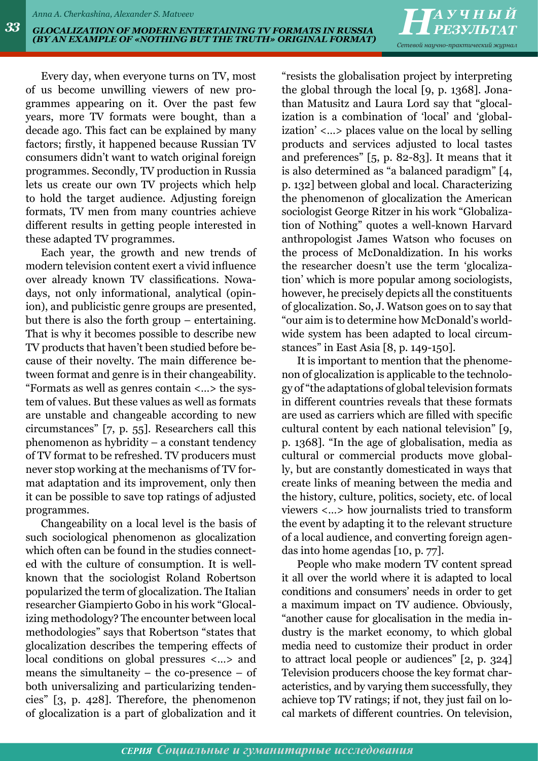*РЕЗУЛЬТАТ Сетевой научно-практический журнал*

Every day, when everyone turns on TV, most of us become unwilling viewers of new programmes appearing on it. Over the past few years, more TV formats were bought, than a decade ago. This fact can be explained by many factors; firstly, it happened because Russian TV consumers didn't want to watch original foreign programmes. Secondly, TV production in Russia lets us create our own TV projects which help to hold the target audience. Adjusting foreign formats, TV men from many countries achieve different results in getting people interested in these adapted TV programmes.

Each year, the growth and new trends of modern television content exert a vivid influence over already known TV classifications. Nowadays, not only informational, analytical (opinion), and publicistic genre groups are presented, but there is also the forth group – entertaining. That is why it becomes possible to describe new TV products that haven't been studied before because of their novelty. The main difference between format and genre is in their changeability. "Formats as well as genres contain <…> the system of values. But these values as well as formats are unstable and changeable according to new circumstances" [7, p. 55]. Researchers call this phenomenon as hybridity – a constant tendency of TV format to be refreshed. TV producers must never stop working at the mechanisms of TV format adaptation and its improvement, only then it can be possible to save top ratings of adjusted programmes.

Changeability on a local level is the basis of such sociological phenomenon as glocalization which often can be found in the studies connected with the culture of consumption. It is wellknown that the sociologist Roland Robertson popularized the term of glocalization. The Italian researcher Giampierto Gobo in his work "Glocalizing methodology? The encounter between local methodologies" says that Robertson "states that glocalization describes the tempering effects of local conditions on global pressures <…> and means the simultaneity – the co-presence – of both universalizing and particularizing tendencies" [3, p. 428]. Therefore, the phenomenon of glocalization is a part of globalization and it "resists the globalisation project by interpreting the global through the local [9, p. 1368]. Jonathan Matusitz and Laura Lord say that "glocalization is a combination of 'local' and 'globalization' <…> places value on the local by selling products and services adjusted to local tastes and preferences" [5, p. 82-83]. It means that it is also determined as "a balanced paradigm" [4, p. 132] between global and local. Characterizing the phenomenon of glocalization the American sociologist George Ritzer in his work "Globalization of Nothing" quotes a well-known Harvard anthropologist James Watson who focuses on the process of McDonaldization. In his works the researcher doesn't use the term 'glocalization' which is more popular among sociologists, however, he precisely depicts all the constituents of glocalization. So, J. Watson goes on to say that "our aim is to determine how McDonald's worldwide system has been adapted to local circumstances" in East Asia [8, p. 149-150].

It is important to mention that the phenomenon of glocalization is applicable to the technology of "the adaptations of global television formats in different countries reveals that these formats are used as carriers which are filled with specific cultural content by each national television" [9, p. 1368]. "In the age of globalisation, media as cultural or commercial products move globally, but are constantly domesticated in ways that create links of meaning between the media and the history, culture, politics, society, etc. of local viewers <…> how journalists tried to transform the event by adapting it to the relevant structure of a local audience, and converting foreign agendas into home agendas [10, p. 77].

People who make modern TV content spread it all over the world where it is adapted to local conditions and consumers' needs in order to get a maximum impact on TV audience. Obviously, "another cause for glocalisation in the media industry is the market economy, to which global media need to customize their product in order to attract local people or audiences" [2, p. 324] Television producers choose the key format characteristics, and by varying them successfully, they achieve top TV ratings; if not, they just fail on local markets of different countries. On television,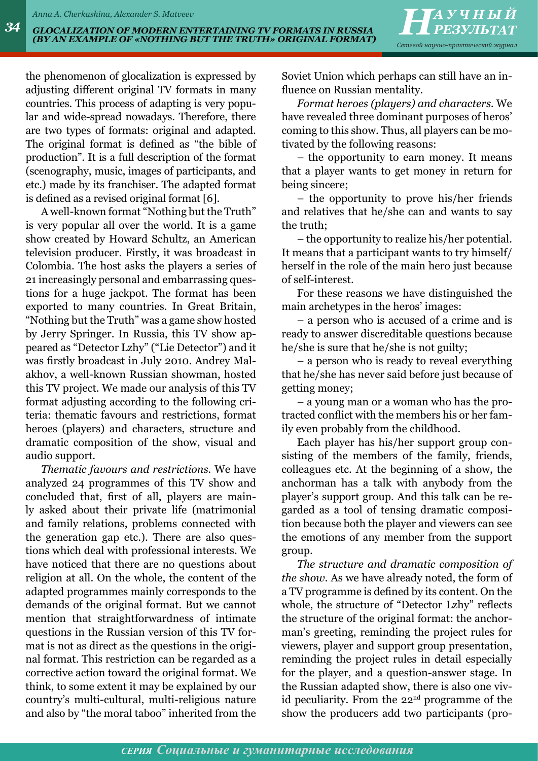the phenomenon of glocalization is expressed by adjusting different original TV formats in many countries. This process of adapting is very popular and wide-spread nowadays. Therefore, there are two types of formats: original and adapted. The original format is defined as "the bible of production". It is a full description of the format (scenography, music, images of participants, and etc.) made by its franchiser. The adapted format is defined as a revised original format [6].

A well-known format "Nothing but the Truth" is very popular all over the world. It is a [game](http://en.wikipedia.org/wiki/Game_show) [show](http://en.wikipedia.org/wiki/Game_show) created by [Howard Schultz,](http://en.wikipedia.org/wiki/Howard_Schultz_(producer)) an American television producer. Firstly, it was broadcast in [Colombia](http://en.wikipedia.org/wiki/Colombia). The host asks the players a series of 21 increasingly personal and embarrassing questions for a huge jackpot. The format has been exported to many countries. In Great Britain, "Nothing but the Truth" was a game show hosted by Jerry Springer. In Russia, this TV show appeared as "Detector Lzhy" ("Lie Detector") and it was firstly broadcast in July 2010. Andrey Malakhov, a well-known Russian showman, hosted this TV project. We made our analysis of this TV format adjusting according to the following criteria: thematic favours and restrictions, format heroes (players) and characters, structure and dramatic composition of the show, visual and audio support.

*Thematic favours and restrictions.* We have analyzed 24 programmes of this TV show and concluded that, first of all, players are mainly asked about their private life (matrimonial and family relations, problems connected with the generation gap etc.). There are also questions which deal with professional interests. We have noticed that there are no questions about religion at all. On the whole, the content of the adapted programmes mainly corresponds to the demands of the original format. But we cannot mention that straightforwardness of intimate questions in the Russian version of this TV format is not as direct as the questions in the original format. This restriction can be regarded as a corrective action toward the original format. We think, to some extent it may be explained by our country's multi-cultural, multi-religious nature and also by "the moral taboo" inherited from the Soviet Union which perhaps can still have an influence on Russian mentality.

*Format heroes (players) and characters.* We have revealed three dominant purposes of heros' coming to this show. Thus, all players can be motivated by the following reasons:

– the opportunity to earn money. It means that a player wants to get money in return for being sincere;

– the opportunity to prove his/her friends and relatives that he/she can and wants to say the truth;

– the opportunity to realize his/her potential. It means that a participant wants to try himself/ herself in the role of the main hero just because of self-interest.

For these reasons we have distinguished the main archetypes in the heros' images:

– a person who is accused of a crime and is ready to answer discreditable questions because he/she is sure that he/she is not guilty;

– a person who is ready to reveal everything that he/she has never said before just because of getting money;

– a young man or a woman who has the protracted conflict with the members his or her family even probably from the childhood.

Each player has his/her support group consisting of the members of the family, friends, colleagues etc. At the beginning of a show, the anchorman has a talk with anybody from the player's support group. And this talk can be regarded as a tool of tensing dramatic composition because both the player and viewers can see the emotions of any member from the support group.

*The structure and dramatic composition of the show.* As we have already noted, the form of a TV programme is defined by its content. On the whole, the structure of "Detector Lzhy" reflects the structure of the original format: the anchorman's greeting, reminding the project rules for viewers, player and support group presentation, reminding the project rules in detail especially for the player, and a question-answer stage. In the Russian adapted show, there is also one vivid peculiarity. From the 22<sup>nd</sup> programme of the show the producers add two participants (pro-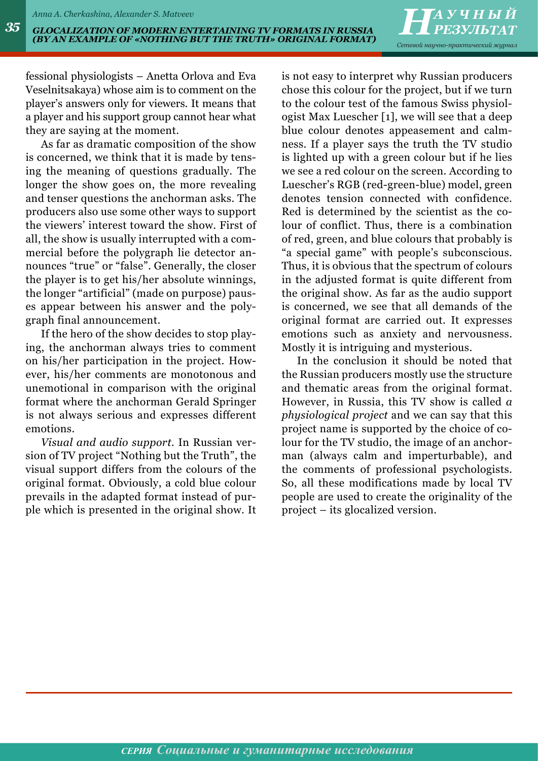*РЕЗУЛЬТАТ Сетевой научно-практический журнал*

fessional physiologists – Anetta Orlova and Eva Veselnitsakaya) whose aim is to comment on the player's answers only for viewers. It means that a player and his support group cannot hear what they are saying at the moment.

As far as dramatic composition of the show is concerned, we think that it is made by tensing the meaning of questions gradually. The longer the show goes on, the more revealing and tenser questions the anchorman asks. The producers also use some other ways to support the viewers' interest toward the show. First of all, the show is usually interrupted with a commercial before the polygraph lie detector announces "true" or "false". Generally, the closer the player is to get his/her absolute winnings, the longer "artificial" (made on purpose) pauses appear between his answer and the polygraph final announcement.

If the hero of the show decides to stop playing, the anchorman always tries to comment on his/her participation in the project. However, his/her comments are monotonous and unemotional in comparison with the original format where the anchorman Gerald Springer is not always serious and expresses different emotions.

*Visual and audio support.* In Russian version of TV project "Nothing but the Truth", the visual support differs from the colours of the original format. Obviously, a cold blue colour prevails in the adapted format instead of purple which is presented in the original show. It is not easy to interpret why Russian producers chose this colour for the project, but if we turn to the colour test of the famous Swiss physiologist Max Luescher [1], we will see that a deep blue colour denotes appeasement and calmness. If a player says the truth the TV studio is lighted up with a green colour but if he lies we see a red colour on the screen. According to Luescher's RGB (red-green-blue) model, green denotes tension connected with confidence. Red is determined by the scientist as the colour of conflict. Thus, there is a combination of red, green, and blue colours that probably is "a special game" with people's subconscious. Thus, it is obvious that the spectrum of colours in the adjusted format is quite different from the original show. As far as the audio support is concerned, we see that all demands of the original format are carried out. It expresses emotions such as anxiety and nervousness. Mostly it is intriguing and mysterious.

In the conclusion it should be noted that the Russian producers mostly use the structure and thematic areas from the original format. However, in Russia, this TV show is called *a physiological project* and we can say that this project name is supported by the choice of colour for the TV studio, the image of an anchorman (always calm and imperturbable), and the comments of professional psychologists. So, all these modifications made by local TV people are used to create the originality of the project – its glocalized version.